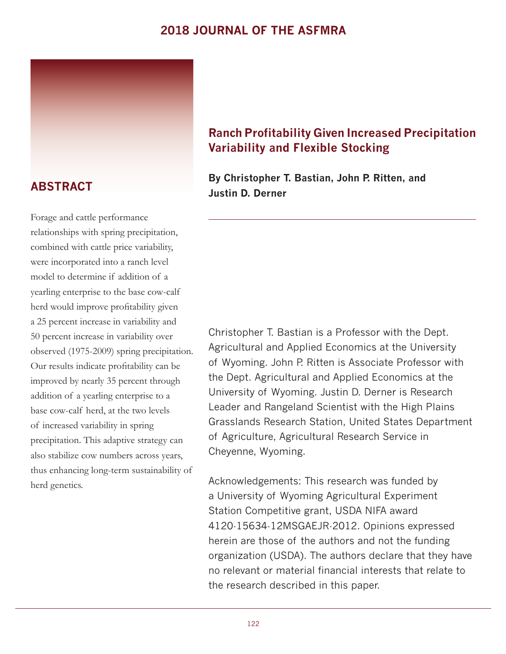Forage and cattle performance relationships with spring precipitation, combined with cattle price variability, were incorporated into a ranch level model to determine if addition of a yearling enterprise to the base cow-calf herd would improve profitability given a 25 percent increase in variability and 50 percent increase in variability over observed (1975-2009) spring precipitation. Our results indicate profitability can be improved by nearly 35 percent through addition of a yearling enterprise to a base cow-calf herd, at the two levels of increased variability in spring precipitation. This adaptive strategy can also stabilize cow numbers across years, thus enhancing long-term sustainability of herd genetics.

# **Ranch Profitability Given Increased Precipitation Variability and Flexible Stocking**

**By Christopher T. Bastian, John P. Ritten, and ABSTRACT CONSUMING ABSTRACT** 

> Christopher T. Bastian is a Professor with the Dept. Agricultural and Applied Economics at the University of Wyoming. John P. Ritten is Associate Professor with the Dept. Agricultural and Applied Economics at the University of Wyoming. Justin D. Derner is Research Leader and Rangeland Scientist with the High Plains Grasslands Research Station, United States Department of Agriculture, Agricultural Research Service in Cheyenne, Wyoming.

> Acknowledgements: This research was funded by a University of Wyoming Agricultural Experiment Station Competitive grant, USDA NIFA award 4120-15634-12MSGAEJR-2012. Opinions expressed herein are those of the authors and not the funding organization (USDA). The authors declare that they have no relevant or material financial interests that relate to the research described in this paper.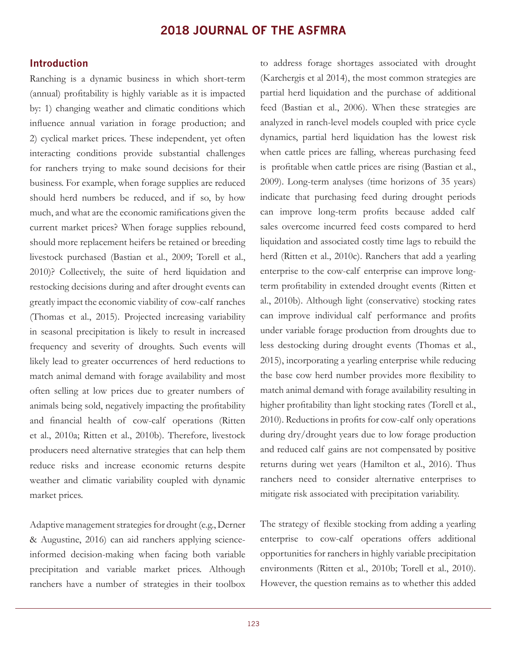#### **Introduction**

Ranching is a dynamic business in which short-term (annual) profitability is highly variable as it is impacted by: 1) changing weather and climatic conditions which influence annual variation in forage production; and 2) cyclical market prices. These independent, yet often interacting conditions provide substantial challenges for ranchers trying to make sound decisions for their business. For example, when forage supplies are reduced should herd numbers be reduced, and if so, by how much, and what are the economic ramifications given the current market prices? When forage supplies rebound, should more replacement heifers be retained or breeding livestock purchased (Bastian et al., 2009; Torell et al., 2010)? Collectively, the suite of herd liquidation and restocking decisions during and after drought events can greatly impact the economic viability of cow-calf ranches (Thomas et al., 2015). Projected increasing variability in seasonal precipitation is likely to result in increased frequency and severity of droughts. Such events will likely lead to greater occurrences of herd reductions to match animal demand with forage availability and most often selling at low prices due to greater numbers of animals being sold, negatively impacting the profitability and financial health of cow-calf operations (Ritten et al., 2010a; Ritten et al., 2010b). Therefore, livestock producers need alternative strategies that can help them reduce risks and increase economic returns despite weather and climatic variability coupled with dynamic market prices.

Adaptive management strategies for drought (e.g., Derner & Augustine, 2016) can aid ranchers applying scienceinformed decision-making when facing both variable precipitation and variable market prices. Although ranchers have a number of strategies in their toolbox to address forage shortages associated with drought (Karchergis et al 2014), the most common strategies are partial herd liquidation and the purchase of additional feed (Bastian et al., 2006). When these strategies are analyzed in ranch-level models coupled with price cycle dynamics, partial herd liquidation has the lowest risk when cattle prices are falling, whereas purchasing feed is profitable when cattle prices are rising (Bastian et al., 2009). Long-term analyses (time horizons of 35 years) indicate that purchasing feed during drought periods can improve long-term profits because added calf sales overcome incurred feed costs compared to herd liquidation and associated costly time lags to rebuild the herd (Ritten et al., 2010c). Ranchers that add a yearling enterprise to the cow-calf enterprise can improve longterm profitability in extended drought events (Ritten et al., 2010b). Although light (conservative) stocking rates can improve individual calf performance and profits under variable forage production from droughts due to less destocking during drought events (Thomas et al., 2015), incorporating a yearling enterprise while reducing the base cow herd number provides more flexibility to match animal demand with forage availability resulting in higher profitability than light stocking rates (Torell et al., 2010). Reductions in profits for cow-calf only operations during dry/drought years due to low forage production and reduced calf gains are not compensated by positive returns during wet years (Hamilton et al., 2016). Thus ranchers need to consider alternative enterprises to mitigate risk associated with precipitation variability.

The strategy of flexible stocking from adding a yearling enterprise to cow-calf operations offers additional opportunities for ranchers in highly variable precipitation environments (Ritten et al., 2010b; Torell et al., 2010). However, the question remains as to whether this added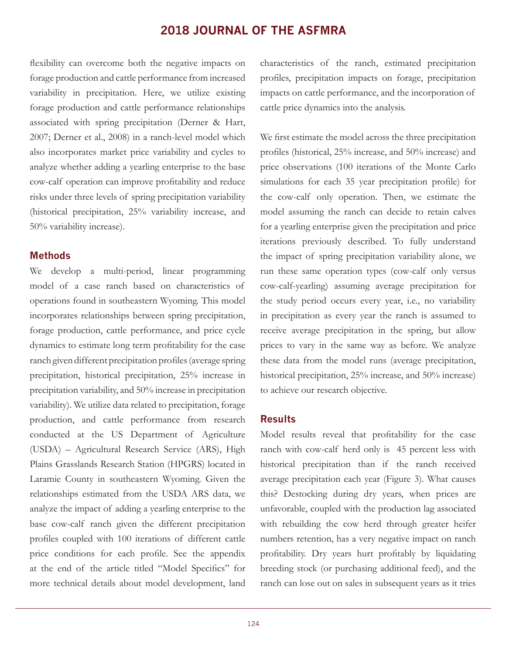flexibility can overcome both the negative impacts on forage production and cattle performance from increased variability in precipitation. Here, we utilize existing forage production and cattle performance relationships associated with spring precipitation (Derner & Hart, 2007; Derner et al., 2008) in a ranch-level model which also incorporates market price variability and cycles to analyze whether adding a yearling enterprise to the base cow-calf operation can improve profitability and reduce risks under three levels of spring precipitation variability (historical precipitation, 25% variability increase, and 50% variability increase).

#### **Methods**

We develop a multi-period, linear programming model of a case ranch based on characteristics of operations found in southeastern Wyoming. This model incorporates relationships between spring precipitation, forage production, cattle performance, and price cycle dynamics to estimate long term profitability for the case ranch given different precipitation profiles (average spring precipitation, historical precipitation, 25% increase in precipitation variability, and 50% increase in precipitation variability). We utilize data related to precipitation, forage production, and cattle performance from research conducted at the US Department of Agriculture (USDA) – Agricultural Research Service (ARS), High Plains Grasslands Research Station (HPGRS) located in Laramie County in southeastern Wyoming. Given the relationships estimated from the USDA ARS data, we analyze the impact of adding a yearling enterprise to the base cow-calf ranch given the different precipitation profiles coupled with 100 iterations of different cattle price conditions for each profile. See the appendix at the end of the article titled "Model Specifics" for more technical details about model development, land

characteristics of the ranch, estimated precipitation profiles, precipitation impacts on forage, precipitation impacts on cattle performance, and the incorporation of cattle price dynamics into the analysis.

We first estimate the model across the three precipitation profiles (historical, 25% increase, and 50% increase) and price observations (100 iterations of the Monte Carlo simulations for each 35 year precipitation profile) for the cow-calf only operation. Then, we estimate the model assuming the ranch can decide to retain calves for a yearling enterprise given the precipitation and price iterations previously described. To fully understand the impact of spring precipitation variability alone, we run these same operation types (cow-calf only versus cow-calf-yearling) assuming average precipitation for the study period occurs every year, i.e., no variability in precipitation as every year the ranch is assumed to receive average precipitation in the spring, but allow prices to vary in the same way as before. We analyze these data from the model runs (average precipitation, historical precipitation, 25% increase, and 50% increase) to achieve our research objective.

#### **Results**

Model results reveal that profitability for the case ranch with cow-calf herd only is 45 percent less with historical precipitation than if the ranch received average precipitation each year (Figure 3). What causes this? Destocking during dry years, when prices are unfavorable, coupled with the production lag associated with rebuilding the cow herd through greater heifer numbers retention, has a very negative impact on ranch profitability. Dry years hurt profitably by liquidating breeding stock (or purchasing additional feed), and the ranch can lose out on sales in subsequent years as it tries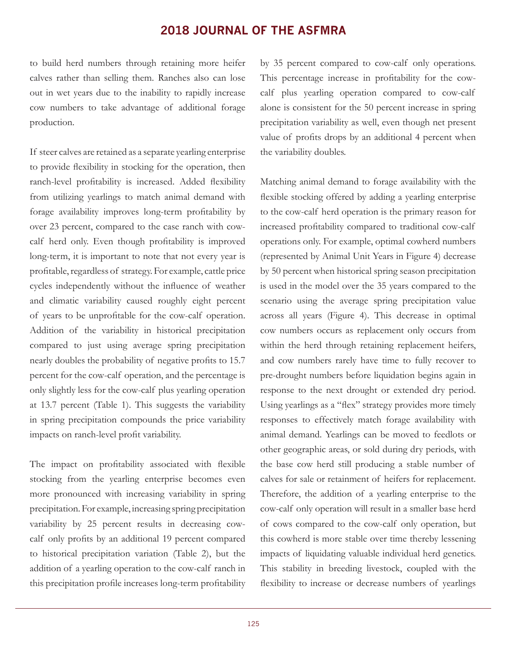to build herd numbers through retaining more heifer calves rather than selling them. Ranches also can lose out in wet years due to the inability to rapidly increase cow numbers to take advantage of additional forage production.

If steer calves are retained as a separate yearling enterprise to provide flexibility in stocking for the operation, then ranch-level profitability is increased. Added flexibility from utilizing yearlings to match animal demand with forage availability improves long-term profitability by over 23 percent, compared to the case ranch with cowcalf herd only. Even though profitability is improved long-term, it is important to note that not every year is profitable, regardless of strategy. For example, cattle price cycles independently without the influence of weather and climatic variability caused roughly eight percent of years to be unprofitable for the cow-calf operation. Addition of the variability in historical precipitation compared to just using average spring precipitation nearly doubles the probability of negative profits to 15.7 percent for the cow-calf operation, and the percentage is only slightly less for the cow-calf plus yearling operation at 13.7 percent (Table 1). This suggests the variability in spring precipitation compounds the price variability impacts on ranch-level profit variability.

The impact on profitability associated with flexible stocking from the yearling enterprise becomes even more pronounced with increasing variability in spring precipitation. For example, increasing spring precipitation variability by 25 percent results in decreasing cowcalf only profits by an additional 19 percent compared to historical precipitation variation (Table 2), but the addition of a yearling operation to the cow-calf ranch in this precipitation profile increases long-term profitability

by 35 percent compared to cow-calf only operations. This percentage increase in profitability for the cowcalf plus yearling operation compared to cow-calf alone is consistent for the 50 percent increase in spring precipitation variability as well, even though net present value of profits drops by an additional 4 percent when the variability doubles.

Matching animal demand to forage availability with the flexible stocking offered by adding a yearling enterprise to the cow-calf herd operation is the primary reason for increased profitability compared to traditional cow-calf operations only. For example, optimal cowherd numbers (represented by Animal Unit Years in Figure 4) decrease by 50 percent when historical spring season precipitation is used in the model over the 35 years compared to the scenario using the average spring precipitation value across all years (Figure 4). This decrease in optimal cow numbers occurs as replacement only occurs from within the herd through retaining replacement heifers, and cow numbers rarely have time to fully recover to pre-drought numbers before liquidation begins again in response to the next drought or extended dry period. Using yearlings as a "flex" strategy provides more timely responses to effectively match forage availability with animal demand. Yearlings can be moved to feedlots or other geographic areas, or sold during dry periods, with the base cow herd still producing a stable number of calves for sale or retainment of heifers for replacement. Therefore, the addition of a yearling enterprise to the cow-calf only operation will result in a smaller base herd of cows compared to the cow-calf only operation, but this cowherd is more stable over time thereby lessening impacts of liquidating valuable individual herd genetics. This stability in breeding livestock, coupled with the flexibility to increase or decrease numbers of yearlings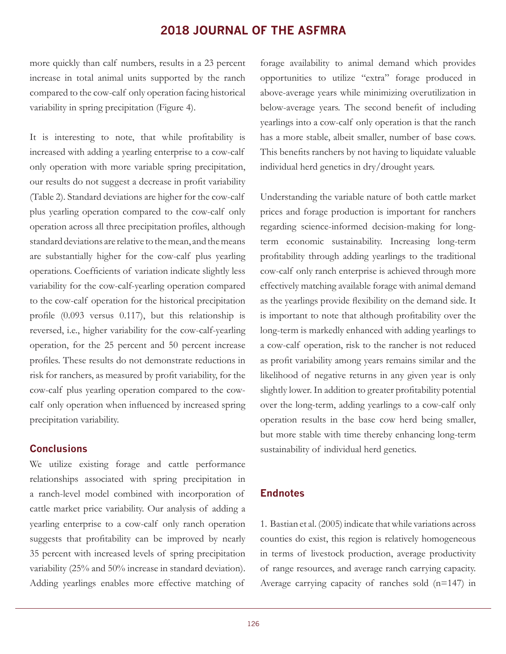more quickly than calf numbers, results in a 23 percent increase in total animal units supported by the ranch compared to the cow-calf only operation facing historical variability in spring precipitation (Figure 4).

It is interesting to note, that while profitability is increased with adding a yearling enterprise to a cow-calf only operation with more variable spring precipitation, our results do not suggest a decrease in profit variability (Table 2). Standard deviations are higher for the cow-calf plus yearling operation compared to the cow-calf only operation across all three precipitation profiles, although standard deviations are relative to the mean, and the means are substantially higher for the cow-calf plus yearling operations. Coefficients of variation indicate slightly less variability for the cow-calf-yearling operation compared to the cow-calf operation for the historical precipitation profile (0.093 versus 0.117), but this relationship is reversed, i.e., higher variability for the cow-calf-yearling operation, for the 25 percent and 50 percent increase profiles. These results do not demonstrate reductions in risk for ranchers, as measured by profit variability, for the cow-calf plus yearling operation compared to the cowcalf only operation when influenced by increased spring precipitation variability.

#### **Conclusions**

We utilize existing forage and cattle performance relationships associated with spring precipitation in a ranch-level model combined with incorporation of cattle market price variability. Our analysis of adding a yearling enterprise to a cow-calf only ranch operation suggests that profitability can be improved by nearly 35 percent with increased levels of spring precipitation variability (25% and 50% increase in standard deviation). Adding yearlings enables more effective matching of

forage availability to animal demand which provides opportunities to utilize "extra" forage produced in above-average years while minimizing overutilization in below-average years. The second benefit of including yearlings into a cow-calf only operation is that the ranch has a more stable, albeit smaller, number of base cows. This benefits ranchers by not having to liquidate valuable individual herd genetics in dry/drought years.

Understanding the variable nature of both cattle market prices and forage production is important for ranchers regarding science-informed decision-making for longterm economic sustainability. Increasing long-term profitability through adding yearlings to the traditional cow-calf only ranch enterprise is achieved through more effectively matching available forage with animal demand as the yearlings provide flexibility on the demand side. It is important to note that although profitability over the long-term is markedly enhanced with adding yearlings to a cow-calf operation, risk to the rancher is not reduced as profit variability among years remains similar and the likelihood of negative returns in any given year is only slightly lower. In addition to greater profitability potential over the long-term, adding yearlings to a cow-calf only operation results in the base cow herd being smaller, but more stable with time thereby enhancing long-term sustainability of individual herd genetics.

#### **Endnotes**

1. Bastian et al. (2005) indicate that while variations across counties do exist, this region is relatively homogeneous in terms of livestock production, average productivity of range resources, and average ranch carrying capacity. Average carrying capacity of ranches sold (n=147) in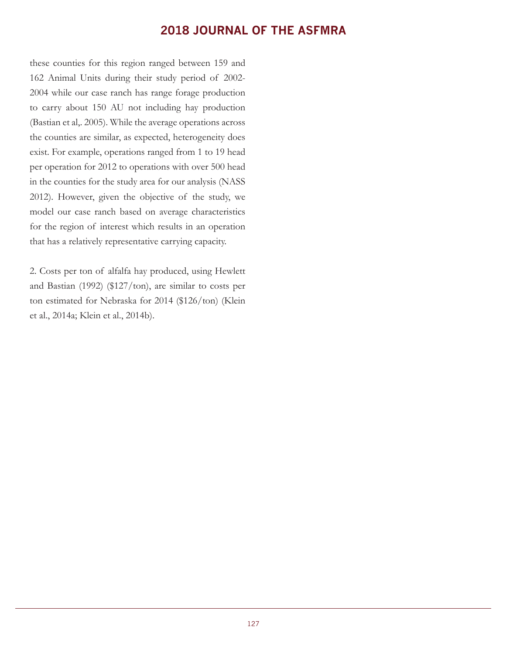these counties for this region ranged between 159 and 162 Animal Units during their study period of 2002- 2004 while our case ranch has range forage production to carry about 150 AU not including hay production (Bastian et al,. 2005). While the average operations across the counties are similar, as expected, heterogeneity does exist. For example, operations ranged from 1 to 19 head per operation for 2012 to operations with over 500 head in the counties for the study area for our analysis (NASS 2012). However, given the objective of the study, we model our case ranch based on average characteristics for the region of interest which results in an operation that has a relatively representative carrying capacity.

2. Costs per ton of alfalfa hay produced, using Hewlett and Bastian (1992) (\$127/ton), are similar to costs per ton estimated for Nebraska for 2014 (\$126/ton) (Klein et al., 2014a; Klein et al., 2014b).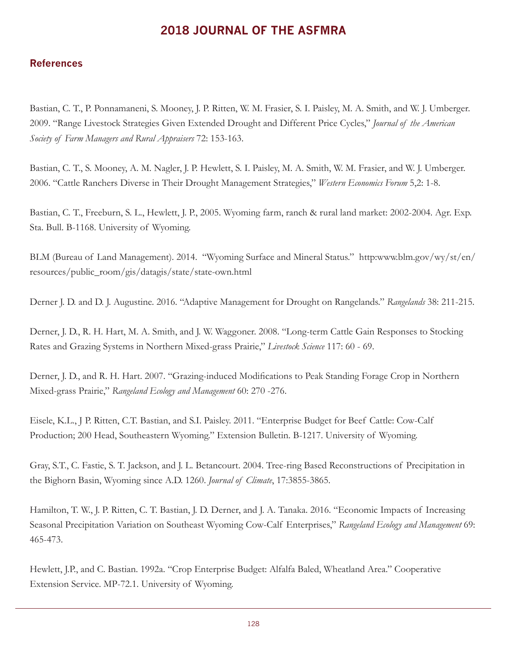#### **References**

Bastian, C. T., P. Ponnamaneni, S. Mooney, J. P. Ritten, W. M. Frasier, S. I. Paisley, M. A. Smith, and W. J. Umberger. 2009. "Range Livestock Strategies Given Extended Drought and Different Price Cycles," *Journal of the American Society of Farm Managers and Rural Appraisers* 72: 153-163.

Bastian, C. T., S. Mooney, A. M. Nagler, J. P. Hewlett, S. I. Paisley, M. A. Smith, W. M. Frasier, and W. J. Umberger. 2006. "Cattle Ranchers Diverse in Their Drought Management Strategies," *Western Economics Forum* 5,2: 1-8.

Bastian, C. T., Freeburn, S. L., Hewlett, J. P., 2005. Wyoming farm, ranch & rural land market: 2002-2004. Agr. Exp. Sta. Bull. B-1168. University of Wyoming.

BLM (Bureau of Land Management). 2014. "Wyoming Surface and Mineral Status." http:www.blm.gov/wy/st/en/ resources/public\_room/gis/datagis/state/state-own.html

Derner J. D. and D. J. Augustine. 2016. "Adaptive Management for Drought on Rangelands." *Rangelands* 38: 211-215.

Derner, J. D., R. H. Hart, M. A. Smith, and J. W. Waggoner. 2008. "Long-term Cattle Gain Responses to Stocking Rates and Grazing Systems in Northern Mixed-grass Prairie," *Livestock Science* 117: 60 - 69.

Derner, J. D., and R. H. Hart. 2007. "Grazing-induced Modifications to Peak Standing Forage Crop in Northern Mixed-grass Prairie," *Rangeland Ecology and Management* 60: 270 -276.

Eisele, K.L., J P. Ritten, C.T. Bastian, and S.I. Paisley. 2011. "Enterprise Budget for Beef Cattle: Cow-Calf Production; 200 Head, Southeastern Wyoming." Extension Bulletin. B-1217. University of Wyoming.

Gray, S.T., C. Fastie, S. T. Jackson, and J. L. Betancourt. 2004. Tree-ring Based Reconstructions of Precipitation in the Bighorn Basin, Wyoming since A.D. 1260. *Journal of Climate*, 17:3855-3865.

Hamilton, T. W., J. P. Ritten, C. T. Bastian, J. D. Derner, and J. A. Tanaka. 2016. "Economic Impacts of Increasing Seasonal Precipitation Variation on Southeast Wyoming Cow-Calf Enterprises," *Rangeland Ecology and Management* 69: 465-473.

Hewlett, J.P., and C. Bastian. 1992a. "Crop Enterprise Budget: Alfalfa Baled, Wheatland Area." Cooperative Extension Service. MP-72.1. University of Wyoming.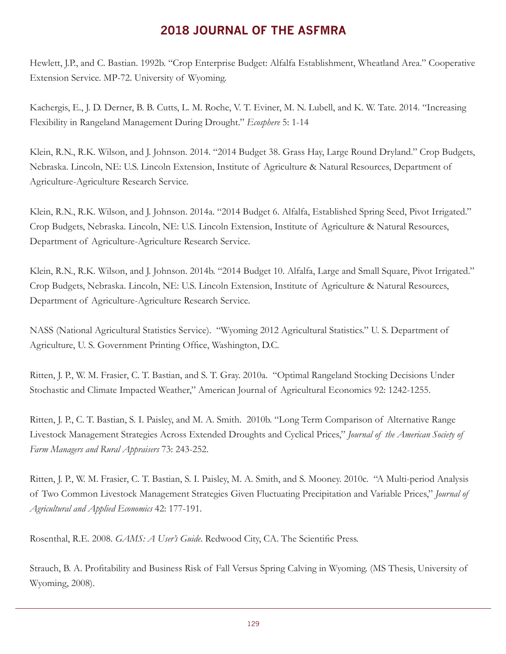Hewlett, J.P., and C. Bastian. 1992b. "Crop Enterprise Budget: Alfalfa Establishment, Wheatland Area." Cooperative Extension Service. MP-72. University of Wyoming.

Kachergis, E., J. D. Derner, B. B. Cutts, L. M. Roche, V. T. Eviner, M. N. Lubell, and K. W. Tate. 2014. "Increasing Flexibility in Rangeland Management During Drought." *Ecosphere* 5: 1-14

Klein, R.N., R.K. Wilson, and J. Johnson. 2014. "2014 Budget 38. Grass Hay, Large Round Dryland." Crop Budgets, Nebraska. Lincoln, NE: U.S. Lincoln Extension, Institute of Agriculture & Natural Resources, Department of Agriculture-Agriculture Research Service.

Klein, R.N., R.K. Wilson, and J. Johnson. 2014a. "2014 Budget 6. Alfalfa, Established Spring Seed, Pivot Irrigated." Crop Budgets, Nebraska. Lincoln, NE: U.S. Lincoln Extension, Institute of Agriculture & Natural Resources, Department of Agriculture-Agriculture Research Service.

Klein, R.N., R.K. Wilson, and J. Johnson. 2014b. "2014 Budget 10. Alfalfa, Large and Small Square, Pivot Irrigated." Crop Budgets, Nebraska. Lincoln, NE: U.S. Lincoln Extension, Institute of Agriculture & Natural Resources, Department of Agriculture-Agriculture Research Service.

NASS (National Agricultural Statistics Service). "Wyoming 2012 Agricultural Statistics." U. S. Department of Agriculture, U. S. Government Printing Office, Washington, D.C.

Ritten, J. P., W. M. Frasier, C. T. Bastian, and S. T. Gray. 2010a. "Optimal Rangeland Stocking Decisions Under Stochastic and Climate Impacted Weather," American Journal of Agricultural Economics 92: 1242-1255.

Ritten, J. P., C. T. Bastian, S. I. Paisley, and M. A. Smith. 2010b. "Long Term Comparison of Alternative Range Livestock Management Strategies Across Extended Droughts and Cyclical Prices," *Journal of the American Society of Farm Managers and Rural Appraisers* 73: 243-252.

Ritten, J. P., W. M. Frasier, C. T. Bastian, S. I. Paisley, M. A. Smith, and S. Mooney. 2010c. "A Multi-period Analysis of Two Common Livestock Management Strategies Given Fluctuating Precipitation and Variable Prices," *Journal of Agricultural and Applied Economics* 42: 177-191.

Rosenthal, R.E. 2008. *GAMS: A User's Guide*. Redwood City, CA. The Scientific Press.

Strauch, B. A. Profitability and Business Risk of Fall Versus Spring Calving in Wyoming. (MS Thesis, University of Wyoming, 2008).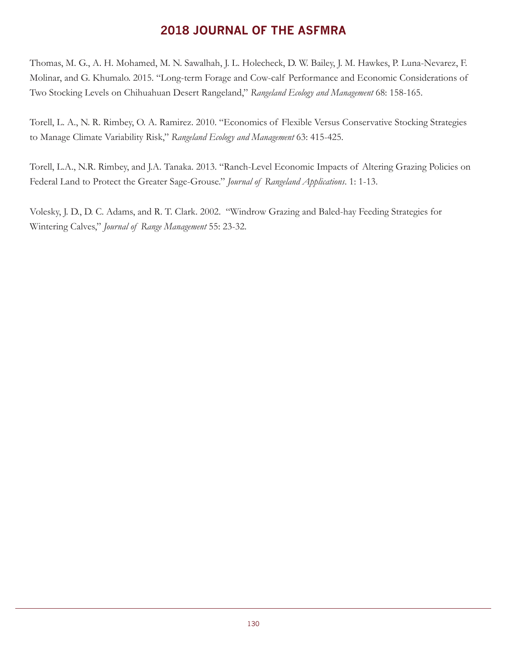Thomas, M. G., A. H. Mohamed, M. N. Sawalhah, J. L. Holecheck, D. W. Bailey, J. M. Hawkes, P. Luna-Nevarez, F. Molinar, and G. Khumalo. 2015. "Long-term Forage and Cow-calf Performance and Economic Considerations of Two Stocking Levels on Chihuahuan Desert Rangeland," *Rangeland Ecology and Management* 68: 158-165.

Torell, L. A., N. R. Rimbey, O. A. Ramirez. 2010. "Economics of Flexible Versus Conservative Stocking Strategies to Manage Climate Variability Risk," *Rangeland Ecology and Management* 63: 415-425.

Torell, L.A., N.R. Rimbey, and J.A. Tanaka. 2013. "Ranch-Level Economic Impacts of Altering Grazing Policies on Federal Land to Protect the Greater Sage-Grouse." *Journal of Rangeland Applications*. 1: 1-13.

Volesky, J. D., D. C. Adams, and R. T. Clark. 2002. "Windrow Grazing and Baled-hay Feeding Strategies for Wintering Calves," *Journal of Range Management* 55: 23-32.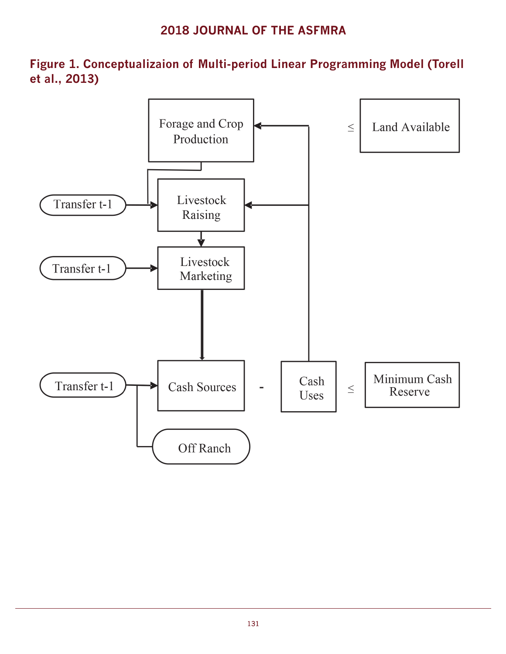

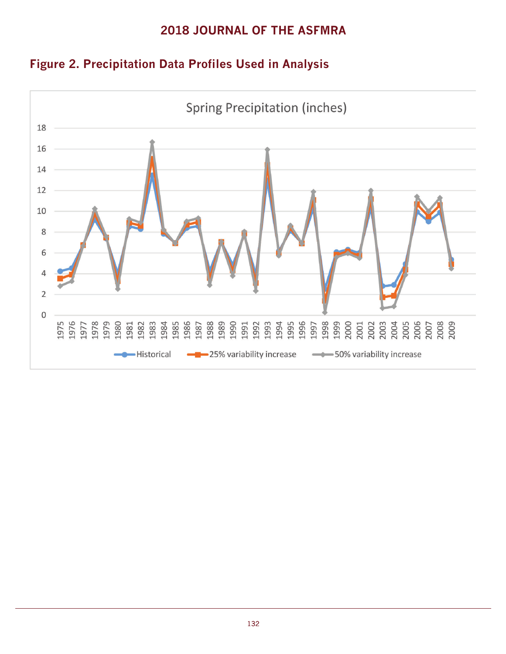

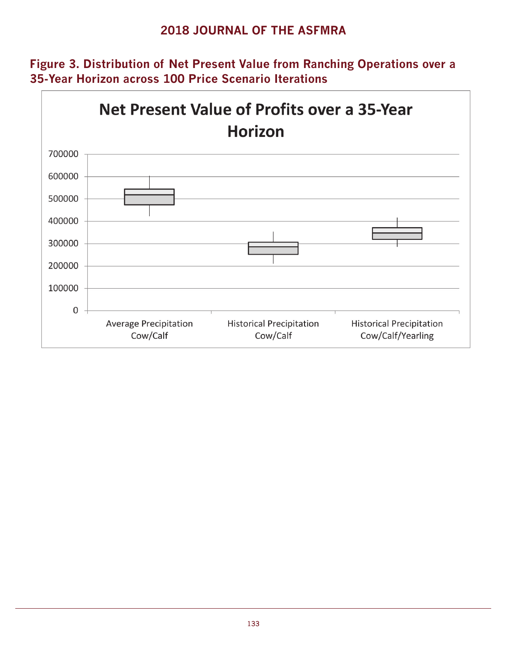

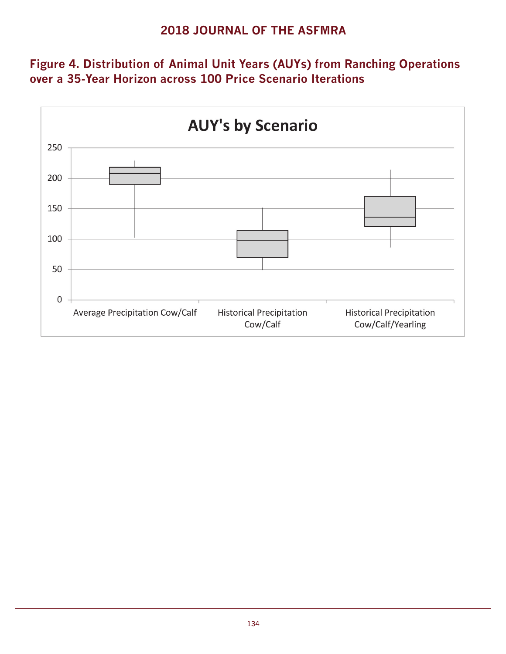

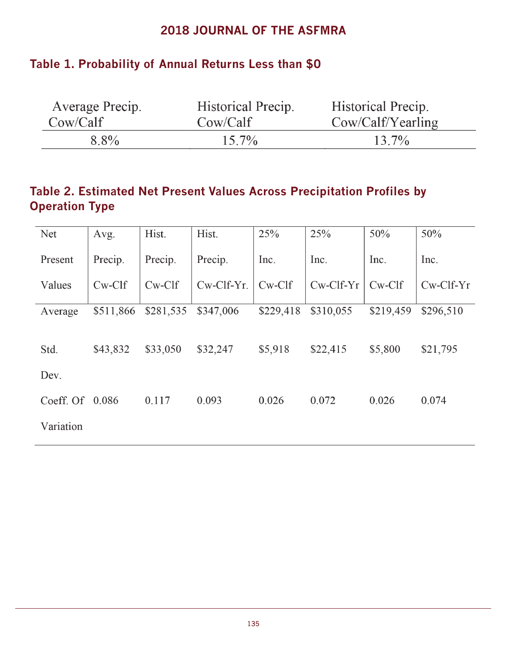# **Table 1. Probability of Annual Returns Less than \$0**

| Average Precip. | Historical Precip. | Historical Precip. |
|-----------------|--------------------|--------------------|
| Cow/Calf        | $\text{Cow/Calf}$  | Cow/Calf/Yearling  |
| $8.8\%$         | $15.7\%$           | $13.7\%$           |

# **Table 2. Estimated Net Present Values Across Precipitation Profiles by Operation Type**

| Net             | Avg.      | Hist.     | Hist.      | 25%       | 25%             | 50%       | 50%             |
|-----------------|-----------|-----------|------------|-----------|-----------------|-----------|-----------------|
| Present         | Precip.   | Precip.   | Precip.    | Inc.      | Inc.            | Inc.      | Inc.            |
| Values          | $Cw-Clf$  | $Cw-Clf$  | Cw-Clf-Yr. | $Cw-Clf$  | $Cw$ -Clf- $Yr$ | $Cw-Clf$  | $Cw$ -Clf- $Yr$ |
| Average         | \$511,866 | \$281,535 | \$347,006  | \$229,418 | \$310,055       | \$219,459 | \$296,510       |
|                 |           |           |            |           |                 |           |                 |
| Std.            | \$43,832  | \$33,050  | \$32,247   | \$5,918   | \$22,415        | \$5,800   | \$21,795        |
| Dev.            |           |           |            |           |                 |           |                 |
|                 |           |           |            |           |                 |           |                 |
| Coeff. Of 0.086 |           | 0.117     | 0.093      | 0.026     | 0.072           | 0.026     | 0.074           |
| Variation       |           |           |            |           |                 |           |                 |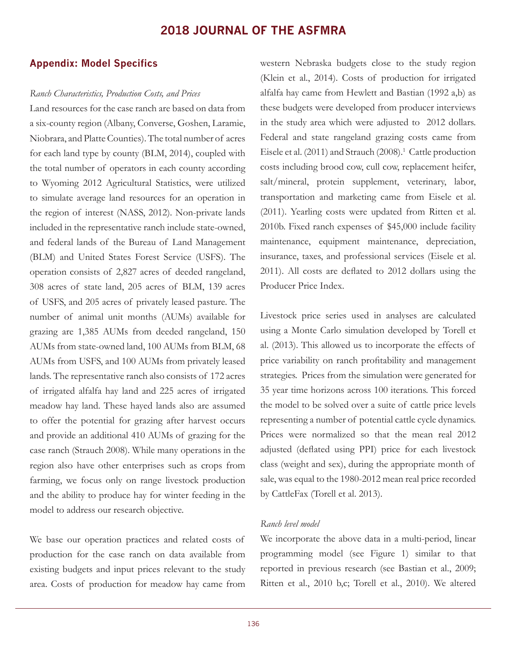#### **Appendix: Model Specifics**

#### *Ranch Characteristics, Production Costs, and Prices*

Land resources for the case ranch are based on data from a six-county region (Albany, Converse, Goshen, Laramie, Niobrara, and Platte Counties). The total number of acres for each land type by county (BLM, 2014), coupled with the total number of operators in each county according to Wyoming 2012 Agricultural Statistics, were utilized to simulate average land resources for an operation in the region of interest (NASS, 2012). Non-private lands included in the representative ranch include state-owned, and federal lands of the Bureau of Land Management (BLM) and United States Forest Service (USFS). The operation consists of 2,827 acres of deeded rangeland, 308 acres of state land, 205 acres of BLM, 139 acres of USFS, and 205 acres of privately leased pasture. The number of animal unit months (AUMs) available for grazing are 1,385 AUMs from deeded rangeland, 150 AUMs from state-owned land, 100 AUMs from BLM, 68 AUMs from USFS, and 100 AUMs from privately leased lands. The representative ranch also consists of 172 acres of irrigated alfalfa hay land and 225 acres of irrigated meadow hay land. These hayed lands also are assumed to offer the potential for grazing after harvest occurs and provide an additional 410 AUMs of grazing for the case ranch (Strauch 2008). While many operations in the region also have other enterprises such as crops from farming, we focus only on range livestock production and the ability to produce hay for winter feeding in the model to address our research objective.

We base our operation practices and related costs of production for the case ranch on data available from existing budgets and input prices relevant to the study area. Costs of production for meadow hay came from

western Nebraska budgets close to the study region (Klein et al., 2014). Costs of production for irrigated alfalfa hay came from Hewlett and Bastian (1992 a,b) as these budgets were developed from producer interviews in the study area which were adjusted to 2012 dollars. Federal and state rangeland grazing costs came from Eisele et al. (2011) and Strauch (2008).<sup>1</sup> Cattle production costs including brood cow, cull cow, replacement heifer, salt/mineral, protein supplement, veterinary, labor, transportation and marketing came from Eisele et al. (2011). Yearling costs were updated from Ritten et al. 2010b. Fixed ranch expenses of \$45,000 include facility maintenance, equipment maintenance, depreciation, insurance, taxes, and professional services (Eisele et al. 2011). All costs are deflated to 2012 dollars using the Producer Price Index.

Livestock price series used in analyses are calculated using a Monte Carlo simulation developed by Torell et al. (2013). This allowed us to incorporate the effects of price variability on ranch profitability and management strategies. Prices from the simulation were generated for 35 year time horizons across 100 iterations. This forced the model to be solved over a suite of cattle price levels representing a number of potential cattle cycle dynamics. Prices were normalized so that the mean real 2012 adjusted (deflated using PPI) price for each livestock class (weight and sex), during the appropriate month of sale, was equal to the 1980-2012 mean real price recorded by CattleFax (Torell et al. 2013).

#### *Ranch level model*

We incorporate the above data in a multi-period, linear programming model (see Figure 1) similar to that reported in previous research (see Bastian et al., 2009; Ritten et al., 2010 b,c; Torell et al., 2010). We altered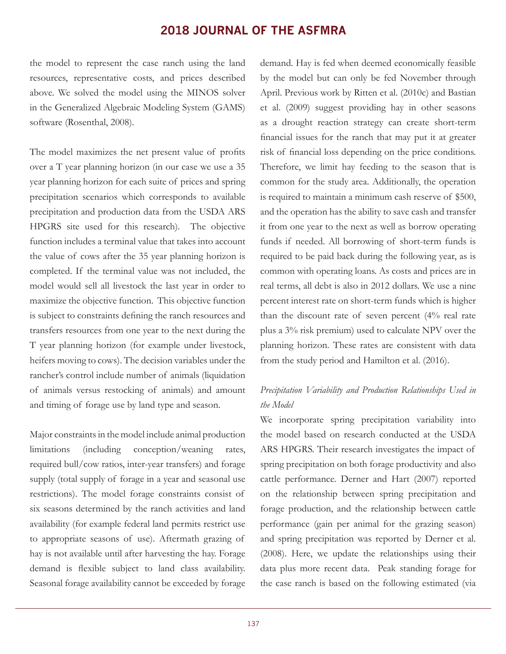the model to represent the case ranch using the land resources, representative costs, and prices described above. We solved the model using the MINOS solver in the Generalized Algebraic Modeling System (GAMS) software (Rosenthal, 2008).

The model maximizes the net present value of profits over a T year planning horizon (in our case we use a 35 year planning horizon for each suite of prices and spring precipitation scenarios which corresponds to available precipitation and production data from the USDA ARS HPGRS site used for this research). The objective function includes a terminal value that takes into account the value of cows after the 35 year planning horizon is completed. If the terminal value was not included, the model would sell all livestock the last year in order to maximize the objective function. This objective function is subject to constraints defining the ranch resources and transfers resources from one year to the next during the T year planning horizon (for example under livestock, heifers moving to cows). The decision variables under the rancher's control include number of animals (liquidation of animals versus restocking of animals) and amount and timing of forage use by land type and season.

Major constraints in the model include animal production limitations (including conception/weaning rates, required bull/cow ratios, inter-year transfers) and forage supply (total supply of forage in a year and seasonal use restrictions). The model forage constraints consist of six seasons determined by the ranch activities and land availability (for example federal land permits restrict use to appropriate seasons of use). Aftermath grazing of hay is not available until after harvesting the hay. Forage demand is flexible subject to land class availability. Seasonal forage availability cannot be exceeded by forage demand. Hay is fed when deemed economically feasible by the model but can only be fed November through April. Previous work by Ritten et al. (2010c) and Bastian et al. (2009) suggest providing hay in other seasons as a drought reaction strategy can create short-term financial issues for the ranch that may put it at greater risk of financial loss depending on the price conditions. Therefore, we limit hay feeding to the season that is common for the study area. Additionally, the operation is required to maintain a minimum cash reserve of \$500, and the operation has the ability to save cash and transfer it from one year to the next as well as borrow operating funds if needed. All borrowing of short-term funds is required to be paid back during the following year, as is common with operating loans. As costs and prices are in real terms, all debt is also in 2012 dollars. We use a nine percent interest rate on short-term funds which is higher than the discount rate of seven percent (4% real rate plus a 3% risk premium) used to calculate NPV over the planning horizon. These rates are consistent with data from the study period and Hamilton et al. (2016).

### *Precipitation Variability and Production Relationships Used in the Model*

We incorporate spring precipitation variability into the model based on research conducted at the USDA ARS HPGRS. Their research investigates the impact of spring precipitation on both forage productivity and also cattle performance. Derner and Hart (2007) reported on the relationship between spring precipitation and forage production, and the relationship between cattle performance (gain per animal for the grazing season) and spring precipitation was reported by Derner et al. (2008). Here, we update the relationships using their data plus more recent data. Peak standing forage for the case ranch is based on the following estimated (via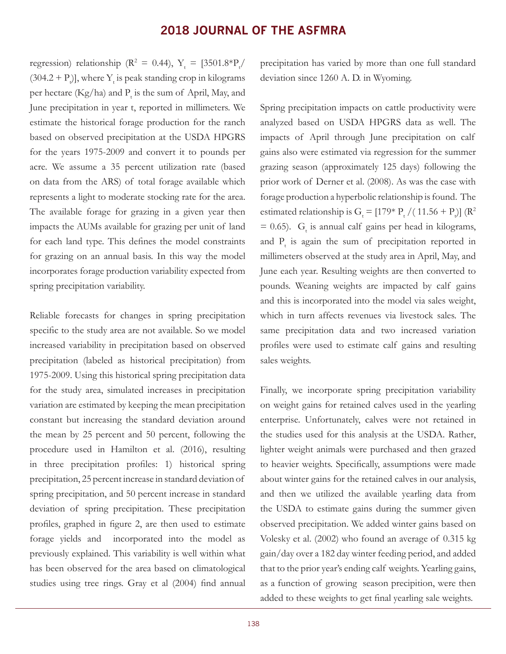regression) relationship ( $\mathbb{R}^2 = 0.44$ ), Y<sub>t</sub> = [3501.8\*P<sub>t</sub>/  $(304.2 + P_v)$ ], where Y<sub>t</sub> is peak standing crop in kilograms per hectare (Kg/ha) and  $P_t$  is the sum of April, May, and June precipitation in year t, reported in millimeters. We estimate the historical forage production for the ranch based on observed precipitation at the USDA HPGRS for the years 1975-2009 and convert it to pounds per acre. We assume a 35 percent utilization rate (based on data from the ARS) of total forage available which represents a light to moderate stocking rate for the area. The available forage for grazing in a given year then impacts the AUMs available for grazing per unit of land for each land type. This defines the model constraints for grazing on an annual basis. In this way the model incorporates forage production variability expected from spring precipitation variability.

Reliable forecasts for changes in spring precipitation specific to the study area are not available. So we model increased variability in precipitation based on observed precipitation (labeled as historical precipitation) from 1975-2009. Using this historical spring precipitation data for the study area, simulated increases in precipitation variation are estimated by keeping the mean precipitation constant but increasing the standard deviation around the mean by 25 percent and 50 percent, following the procedure used in Hamilton et al. (2016), resulting in three precipitation profiles: 1) historical spring precipitation, 25 percent increase in standard deviation of spring precipitation, and 50 percent increase in standard deviation of spring precipitation. These precipitation profiles, graphed in figure 2, are then used to estimate forage yields and incorporated into the model as previously explained. This variability is well within what has been observed for the area based on climatological studies using tree rings. Gray et al (2004) find annual

precipitation has varied by more than one full standard deviation since 1260 A. D. in Wyoming.

Spring precipitation impacts on cattle productivity were analyzed based on USDA HPGRS data as well. The impacts of April through June precipitation on calf gains also were estimated via regression for the summer grazing season (approximately 125 days) following the prior work of Derner et al. (2008). As was the case with forage production a hyperbolic relationship is found. The estimated relationship is  $G_t = [179*P_t / (11.56 + P_t)] (R^2)$  $= 0.65$ ). G<sub>t</sub> is annual calf gains per head in kilograms, and  $P_{t}$  is again the sum of precipitation reported in millimeters observed at the study area in April, May, and June each year. Resulting weights are then converted to pounds. Weaning weights are impacted by calf gains and this is incorporated into the model via sales weight, which in turn affects revenues via livestock sales. The same precipitation data and two increased variation profiles were used to estimate calf gains and resulting sales weights.

Finally, we incorporate spring precipitation variability on weight gains for retained calves used in the yearling enterprise. Unfortunately, calves were not retained in the studies used for this analysis at the USDA. Rather, lighter weight animals were purchased and then grazed to heavier weights. Specifically, assumptions were made about winter gains for the retained calves in our analysis, and then we utilized the available yearling data from the USDA to estimate gains during the summer given observed precipitation. We added winter gains based on Volesky et al. (2002) who found an average of 0.315 kg gain/day over a 182 day winter feeding period, and added that to the prior year's ending calf weights. Yearling gains, as a function of growing season precipition, were then added to these weights to get final yearling sale weights.